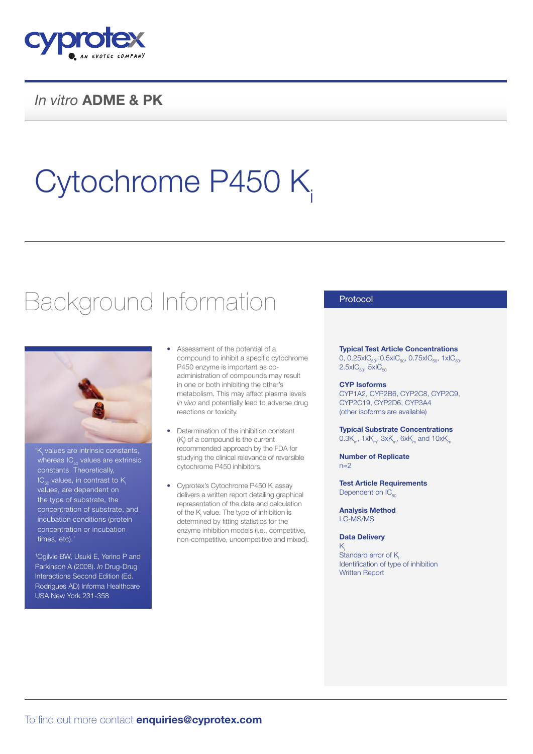

### *In vitro* ADME & PK

# Cytochrome P450 K

## Background Information



whereas  $IC_{20}$  values are extrinsic constants. Theoretically,  $IC_{50}$  values, in contrast to K. values, are dependent on the type of substrate, the concentration of substrate, and incubation conditions (protein concentration or incubation times, etc).'

1 Ogilvie BW, Usuki E, Yerino P and Parkinson A (2008). *In* Drug-Drug Interactions Second Edition (Ed. Rodrigues AD) Informa Healthcare USA New York 231-358

- Assessment of the potential of a compound to inhibit a specific cytochrome P450 enzyme is important as coadministration of compounds may result in one or both inhibiting the other's metabolism. This may affect plasma levels *in vivo* and potentially lead to adverse drug reactions or toxicity.
- Determination of the inhibition constant  $(K<sub>i</sub>)$  of a compound is the current recommended approach by the FDA for studying the clinical relevance of reversible cytochrome P450 inhibitors.
- Cyprotex's Cytochrome P450  $K<sub>i</sub>$  assay delivers a written report detailing graphical representation of the data and calculation of the  $K_i$  value. The type of inhibition is determined by fitting statistics for the enzyme inhibition models (i.e., competitive, non-competitive, uncompetitive and mixed).

#### Protocol

Typical Test Article Concentrations 0, 0.25xIC<sub>50</sub>, 0.5xIC<sub>50</sub>, 0.75xIC<sub>50</sub>, 1xIC<sub>50</sub>,  $2.5xIC_{50}$ ,  $5xIC_{50}$ 

#### CYP Isoforms

CYP1A2, CYP2B6, CYP2C8, CYP2C9, CYP2C19, CYP2D6, CYP3A4 (other isoforms are available)

Typical Substrate Concentrations  $0.3K<sub>m</sub>$ , 1xK<sub>m</sub>, 3xK<sub>m</sub>, 6xK<sub>m</sub> and 10xK<sub>m</sub>

Number of Replicate  $n=2$ 

Test Article Requirements Dependent on  $IC_{50}$ 

Analysis Method LC-MS/MS

#### Data Delivery

 $\mathsf{K}$ Standard error of K Identification of type of inhibition Written Report